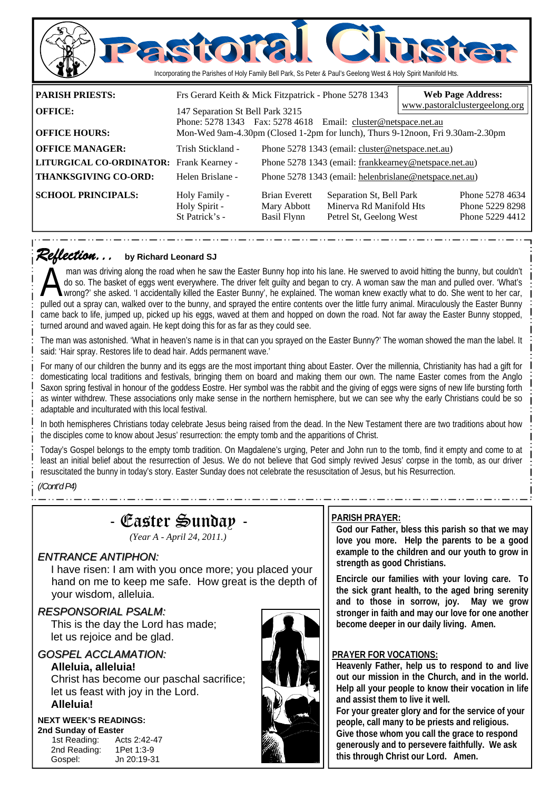

**LITURGICAL CO-ORDINATOR:** Frank Kearney - Phone 5278 1343 (email: frankkearney@netspace.net.au) **THANKSGIVING CO-ORD:** Helen Brislane - Phone 5278 1343 (email: helenbrislane@netspace.net.au) **SCHOOL PRINCIPALS:** Holy Family - Brian Everett Separation St, Bell Park Phone 5278 4634 Holy Spirit - Mary Abbott Minerva Rd Manifold Hts Phone 5229 8298 St Patrick's - Basil Flynn Petrel St, Geelong West Phone 5229 4412

### *Reflection...* **by Richard Leonard SJ**

man was driving along the road when he saw the Easter Bunny hop into his lane. He swerved to avoid hitting the bunny, but couldn't do so. The basket of eggs went everywhere. The driver felt guilty and began to cry. A woman saw the man and pulled over. 'What's wrong?' she asked. 'I accidentally killed the Easter Bunny', he explained. The woman knew exactly what to do. She went to her car, pulled out a spray can, walked over to the bunny, and sprayed the entire contents over the little furry animal. Miraculously the Easter Bunny came back to life, jumped up, picked up his eggs, waved at them and hopped on down the road. Not far away the Easter Bunny stopped, turned around and waved again. He kept doing this for as far as they could see.

The man was astonished. 'What in heaven's name is in that can you sprayed on the Easter Bunny?' The woman showed the man the label. It said: 'Hair spray. Restores life to dead hair. Adds permanent wave.'

For many of our children the bunny and its eggs are the most important thing about Easter. Over the millennia, Christianity has had a gift for domesticating local traditions and festivals, bringing them on board and making them our own. The name Easter comes from the Anglo Saxon spring festival in honour of the goddess Eostre. Her symbol was the rabbit and the giving of eggs were signs of new life bursting forth as winter withdrew. These associations only make sense in the northern hemisphere, but we can see why the early Christians could be so adaptable and inculturated with this local festival.

In both hemispheres Christians today celebrate Jesus being raised from the dead. In the New Testament there are two traditions about how the disciples come to know about Jesus' resurrection: the empty tomb and the apparitions of Christ.

Today's Gospel belongs to the empty tomb tradition. On Magdalene's urging, Peter and John run to the tomb, find it empty and come to at least an initial belief about the resurrection of Jesus. We do not believe that God simply revived Jesus' corpse in the tomb, as our driver resuscitated the bunny in today's story. Easter Sunday does not celebrate the resuscitation of Jesus, but his Resurrection.

*(/Cont'd P4)* 

# - Easter Sunday -

*(Year A - April 24, 2011.)* 

### *ENTRANCE ANTIPHON: ENTRANCE ANTIPHON:*

 I have risen: I am with you once more; you placed your hand on me to keep me safe. How great is the depth of your wisdom, alleluia.

#### *RESPONSORIAL PSALM: RESPONSORIAL PSALM:*

 This is the day the Lord has made; let us rejoice and be glad.

## *GOSPEL ACCLAMATION: GOSPEL ACCLAMATION:*

**Alleluia, alleluia!**  Christ has become our paschal sacrifice; let us feast with joy in the Lord. **Alleluia!** 

#### **NEXT WEEK'S READINGS:**

| 2nd Sunday of Easter |              |  |  |
|----------------------|--------------|--|--|
| 1st Reading:         | Acts 2:42-47 |  |  |
| 2nd Reading:         | 1Pet 1:3-9   |  |  |
| Gospel:              | Jn 20:19-31  |  |  |



### **PARISH PRAYER:**

**God our Father, bless this parish so that we may love you more. Help the parents to be a good example to the children and our youth to grow in strength as good Christians.** 

**Encircle our families with your loving care. To the sick grant health, to the aged bring serenity and to those in sorrow, joy. May we grow stronger in faith and may our love for one another become deeper in our daily living. Amen.** 

#### **PRAYER FOR VOCATIONS:**

**Heavenly Father, help us to respond to and live out our mission in the Church, and in the world. Help all your people to know their vocation in life and assist them to live it well.** 

**For your greater glory and for the service of your people, call many to be priests and religious. Give those whom you call the grace to respond generously and to persevere faithfully. We ask this through Christ our Lord. Amen.**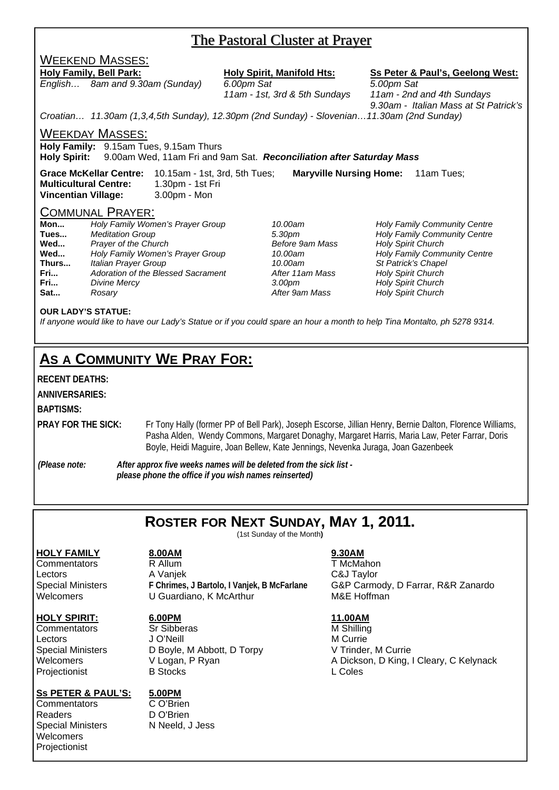## The Pastoral Cluster at Prayer

## WEEKEND MASSES:

*English… 8am and 9.30am (Sunday) 6.00pm Sat 5.00pm Sat* 

**Holy Family, Bell Park: Holy Spirit, Manifold Hts: Ss Peter & Paul's, Geelong West:**

 *11am - 1st, 3rd & 5th Sundays 11am - 2nd and 4th Sundays* 

 *9.30am - Italian Mass at St Patrick's* 

*Croatian… 11.30am (1,3,4,5th Sunday), 12.30pm (2nd Sunday) - Slovenian…11.30am (2nd Sunday)* 

### WEEKDAY MASSES:

**Holy Family:** 9.15am Tues, 9.15am Thurs

**Holy Spirit:** 9.00am Wed, 11am Fri and 9am Sat. *Reconciliation after Saturday Mass* 

**Grace McKellar Centre:** 10.15am - 1st, 3rd, 5th Tues; **Maryville Nursing Home:** 11am Tues; **Multicultural Centre:** 1.30pm - 1st Fri **Vincentian Village:** 3.00pm - Mon

### COMMUNAL PRAYER:

| Mon   | Holy Family Women's Prayer Group   | 10.00am         | <b>Holy Family Community Centre</b> |
|-------|------------------------------------|-----------------|-------------------------------------|
| Tues  | <b>Meditation Group</b>            | 5.30pm          | <b>Holy Family Community Centre</b> |
| Wed   | Prayer of the Church               | Before 9am Mass | <b>Holy Spirit Church</b>           |
| Wed   | Holy Family Women's Prayer Group   | 10.00am         | <b>Holy Family Community Centre</b> |
| Thurs | Italian Prayer Group               | 10.00am         | St Patrick's Chapel                 |
| Fri   | Adoration of the Blessed Sacrament | After 11am Mass | <b>Holy Spirit Church</b>           |
| Fri   | Divine Mercy                       | 3.00pm          | <b>Holy Spirit Church</b>           |
| Sat   | Rosary                             | After 9am Mass  | <b>Holy Spirit Church</b>           |
|       |                                    |                 |                                     |

#### **OUR LADY'S STATUE:**

*If anyone would like to have our Lady's Statue or if you could spare an hour a month to help Tina Montalto, ph 5278 9314.* 

## **AS A COMMUNITY WE PRAY FOR:**

### **RECENT DEATHS:**

**ANNIVERSARIES:** 

#### **BAPTISMS:**

PRAY FOR THE SICK: Fr Tony Hally (former PP of Bell Park), Joseph Escorse, Jillian Henry, Bernie Dalton, Florence Williams, Pasha Alden, Wendy Commons, Margaret Donaghy, Margaret Harris, Maria Law, Peter Farrar, Doris Boyle, Heidi Maguire, Joan Bellew, Kate Jennings, Nevenka Juraga, Joan Gazenbeek

*(Please note: After approx five weeks names will be deleted from the sick list please phone the office if you wish names reinserted)* 

## **ROSTER FOR NEXT SUNDAY, MAY 1, 2011.**

(1st Sunday of the Month**)** 

Commentators R Allum

#### **Ss PETER & PAUL'S: 5.00PM**

Commentators C O'Brien Readers DO'Brien<br>Special Ministers Neeld. **Welcomers** Projectionist

**HOLY FAMILY 8.00AM 9.30AM 9.30AM 5.00AM 1 6.41** Lectors **A** Vanjek **A** Vanjek **C&J Taylor** Welcomers U Guardiano, K McArthur

Commentators Sr Sibberas M Shilling Lectors **CONEXALLECTER** J O'Neill **M** Currie Special Ministers **D** Boyle, M Abbott, D Torpy **V** Trinder, M Currie Projectionist B Stocks L Coles

Special Ministers **F Chrimes, J Bartolo, I Vanjek, B McFarlane** G&P Carmody, D Farrar, R&R Zanardo

#### **HOLY SPIRIT: 6.00PM 6.00PM 11.00AM**

Welcomers **V** Logan, P Ryan A Dickson, D King, I Cleary, C Kelynack

N Neeld, J Jess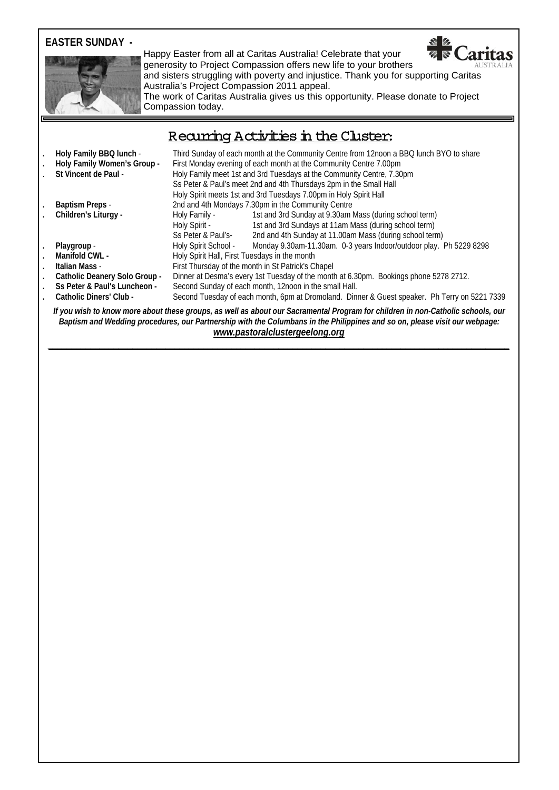### **EASTER SUNDAY -**



Happy Easter from all at Caritas Australia! Celebrate that your generosity to Project Compassion offers new life to your brothers and sisters struggling with poverty and injustice. Thank you for supporting Caritas Australia's Project Compassion 2011 appeal. The work of Caritas Australia gives us this opportunity. Please donate to Project Compassion today.

as

## Recurring Activities in the Cluster:

|                                                                                                                                                                                                                                                               | Holy Family BBQ lunch -       |                                                                                       | Third Sunday of each month at the Community Centre from 12noon a BBQ lunch BYO to share       |  |
|---------------------------------------------------------------------------------------------------------------------------------------------------------------------------------------------------------------------------------------------------------------|-------------------------------|---------------------------------------------------------------------------------------|-----------------------------------------------------------------------------------------------|--|
|                                                                                                                                                                                                                                                               | Holy Family Women's Group -   | First Monday evening of each month at the Community Centre 7.00pm                     |                                                                                               |  |
|                                                                                                                                                                                                                                                               | St Vincent de Paul -          | Holy Family meet 1st and 3rd Tuesdays at the Community Centre, 7.30pm                 |                                                                                               |  |
|                                                                                                                                                                                                                                                               |                               | Ss Peter & Paul's meet 2nd and 4th Thursdays 2pm in the Small Hall                    |                                                                                               |  |
|                                                                                                                                                                                                                                                               |                               | Holy Spirit meets 1st and 3rd Tuesdays 7.00pm in Holy Spirit Hall                     |                                                                                               |  |
|                                                                                                                                                                                                                                                               | <b>Baptism Preps -</b>        | 2nd and 4th Mondays 7.30pm in the Community Centre                                    |                                                                                               |  |
|                                                                                                                                                                                                                                                               | Children's Liturgy -          | Holy Family -                                                                         | 1st and 3rd Sunday at 9.30am Mass (during school term)                                        |  |
|                                                                                                                                                                                                                                                               |                               | Holy Spirit -                                                                         | 1st and 3rd Sundays at 11am Mass (during school term)                                         |  |
|                                                                                                                                                                                                                                                               |                               | Ss Peter & Paul's-                                                                    | 2nd and 4th Sunday at 11.00am Mass (during school term)                                       |  |
|                                                                                                                                                                                                                                                               | Playgroup -                   | Holy Spirit School -                                                                  | Monday 9.30am-11.30am. 0-3 years Indoor/outdoor play. Ph 5229 8298                            |  |
|                                                                                                                                                                                                                                                               | Manifold CWL -                | Holy Spirit Hall, First Tuesdays in the month                                         |                                                                                               |  |
|                                                                                                                                                                                                                                                               | Italian Mass -                | First Thursday of the month in St Patrick's Chapel                                    |                                                                                               |  |
|                                                                                                                                                                                                                                                               | Catholic Deanery Solo Group - | Dinner at Desma's every 1st Tuesday of the month at 6.30pm. Bookings phone 5278 2712. |                                                                                               |  |
|                                                                                                                                                                                                                                                               | Ss Peter & Paul's Luncheon -  | Second Sunday of each month, 12noon in the small Hall.                                |                                                                                               |  |
|                                                                                                                                                                                                                                                               | Catholic Diners' Club -       |                                                                                       | Second Tuesday of each month, 6pm at Dromoland. Dinner & Guest speaker. Ph Terry on 5221 7339 |  |
| If you wish to know more about these groups, as well as about our Sacramental Program for children in non-Catholic schools, our<br>Baptism and Wedding procedures, our Partnership with the Columbans in the Philippines and so on, please visit our webpage: |                               |                                                                                       |                                                                                               |  |

*www.pastoralclustergeelong.org \_\_\_\_\_\_\_\_\_\_\_\_\_\_\_\_\_\_\_\_\_\_\_\_\_\_\_\_\_\_\_\_\_\_\_\_\_\_\_\_\_\_\_\_\_\_\_\_\_\_\_\_\_\_\_\_\_\_\_\_\_\_\_\_\_\_\_\_\_\_\_\_\_\_\_\_\_\_\_\_\_\_\_\_\_\_\_\_\_\_\_\_\_\_\_\_\_\_*